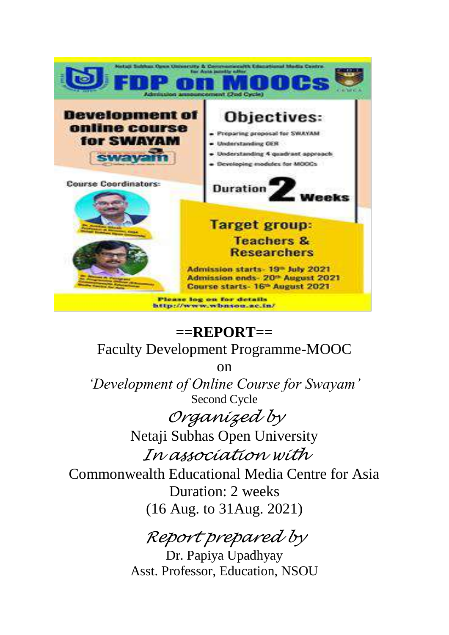

# **==REPORT==** Faculty Development Programme-MOOC

on

*'Development of Online Course for Swayam'* Second Cycle

> *Organized by*  Netaji Subhas Open University

*In association with* 

Commonwealth Educational Media Centre for Asia Duration: 2 weeks (16 Aug. to 31Aug. 2021)

# *Report prepared by*

Dr. Papiya Upadhyay Asst. Professor, Education, NSOU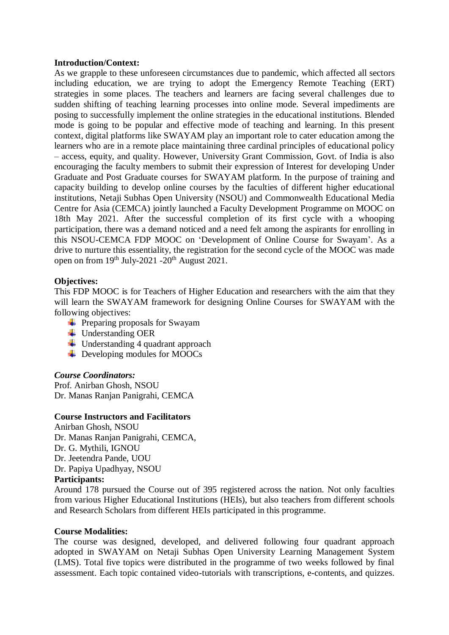#### **Introduction/Context:**

As we grapple to these unforeseen circumstances due to pandemic, which affected all sectors including education, we are trying to adopt the Emergency Remote Teaching (ERT) strategies in some places. The teachers and learners are facing several challenges due to sudden shifting of teaching learning processes into online mode. Several impediments are posing to successfully implement the online strategies in the educational institutions. Blended mode is going to be popular and effective mode of teaching and learning. In this present context, digital platforms like SWAYAM play an important role to cater education among the learners who are in a remote place maintaining three cardinal principles of educational policy – access, equity, and quality. However, University Grant Commission, Govt. of India is also encouraging the faculty members to submit their expression of Interest for developing Under Graduate and Post Graduate courses for SWAYAM platform. In the purpose of training and capacity building to develop online courses by the faculties of different higher educational institutions, Netaji Subhas Open University (NSOU) and Commonwealth Educational Media Centre for Asia (CEMCA) jointly launched a Faculty Development Programme on MOOC on 18th May 2021. After the successful completion of its first cycle with a whooping participation, there was a demand noticed and a need felt among the aspirants for enrolling in this NSOU-CEMCA FDP MOOC on 'Development of Online Course for Swayam'. As a drive to nurture this essentiality, the registration for the second cycle of the MOOC was made open on from 19<sup>th</sup> July-2021 -20<sup>th</sup> August 2021.

# **Objectives:**

This FDP MOOC is for Teachers of Higher Education and researchers with the aim that they will learn the SWAYAM framework for designing Online Courses for SWAYAM with the following objectives:

- $\leftarrow$  Preparing proposals for Swayam
- **↓** Understanding OER
- $\downarrow$  Understanding 4 quadrant approach
- $\overline{\phantom{a}}$  Developing modules for MOOCs

# *Course Coordinators:*

Prof. Anirban Ghosh, NSOU Dr. Manas Ranjan Panigrahi, CEMCA

# **Course Instructors and Facilitators**

Anirban Ghosh, NSOU Dr. Manas Ranjan Panigrahi, CEMCA, Dr. G. Mythili, IGNOU Dr. Jeetendra Pande, UOU Dr. Papiya Upadhyay, NSOU

# **Participants:**

Around 178 pursued the Course out of 395 registered across the nation. Not only faculties from various Higher Educational Institutions (HEIs), but also teachers from different schools and Research Scholars from different HEIs participated in this programme.

# **Course Modalities:**

The course was designed, developed, and delivered following four quadrant approach adopted in SWAYAM on Netaji Subhas Open University Learning Management System (LMS). Total five topics were distributed in the programme of two weeks followed by final assessment. Each topic contained video-tutorials with transcriptions, e-contents, and quizzes.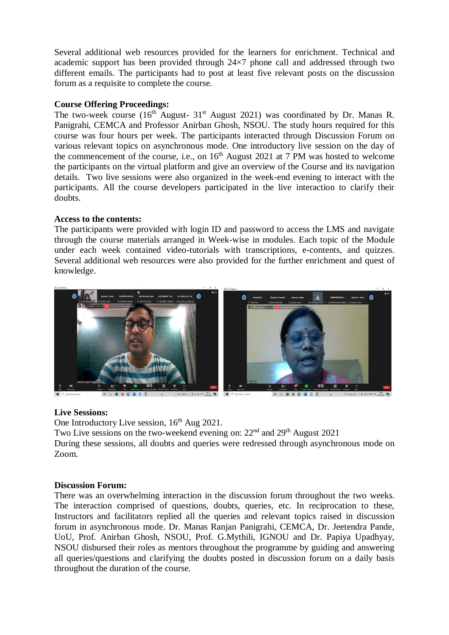Several additional web resources provided for the learners for enrichment. Technical and academic support has been provided through 24×7 phone call and addressed through two different emails. The participants had to post at least five relevant posts on the discussion forum as a requisite to complete the course.

# **Course Offering Proceedings:**

The two-week course  $(16<sup>th</sup>$  August-  $31<sup>st</sup>$  August 2021) was coordinated by Dr. Manas R. Panigrahi, CEMCA and Professor Anirban Ghosh, NSOU. The study hours required for this course was four hours per week. The participants interacted through Discussion Forum on various relevant topics on asynchronous mode. One introductory live session on the day of the commencement of the course, i.e., on  $16<sup>th</sup>$  August 2021 at 7 PM was hosted to welcome the participants on the virtual platform and give an overview of the Course and its navigation details. Two live sessions were also organized in the week-end evening to interact with the participants. All the course developers participated in the live interaction to clarify their doubts.

# **Access to the contents:**

The participants were provided with login ID and password to access the LMS and navigate through the course materials arranged in Week-wise in modules. Each topic of the Module under each week contained video-tutorials with transcriptions, e-contents, and quizzes. Several additional web resources were also provided for the further enrichment and quest of knowledge.



# **Live Sessions:**

One Introductory Live session,  $16<sup>th</sup>$  Aug 2021.

Two Live sessions on the two-weekend evening on: 22<sup>nd</sup> and 29<sup>th</sup> August 2021

During these sessions, all doubts and queries were redressed through asynchronous mode on Zoom.

# **Discussion Forum:**

There was an overwhelming interaction in the discussion forum throughout the two weeks. The interaction comprised of questions, doubts, queries, etc. In reciprocation to these, Instructors and facilitators replied all the queries and relevant topics raised in discussion forum in asynchronous mode. Dr. Manas Ranjan Panigrahi, CEMCA, Dr. Jeetendra Pande, UoU, Prof. Anirban Ghosh, NSOU, Prof. G.Mythili, IGNOU and Dr. Papiya Upadhyay, NSOU disbursed their roles as mentors throughout the programme by guiding and answering all queries/questions and clarifying the doubts posted in discussion forum on a daily basis throughout the duration of the course.